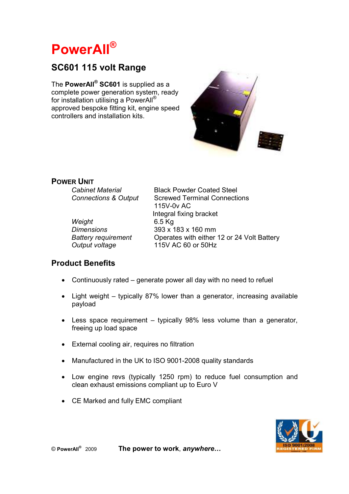# **PowerAll®**

## **SC601 115 volt Range**

The **PowerAll® SC601** is supplied as a complete power generation system, ready for installation utilising a PowerAll® approved bespoke fitting kit, engine speed controllers and installation kits.



## **POWER UNIT**<br>Cabinet Material

 *Weight* 6.5 Kg

**Black Powder Coated Steel** *Connections & Output* Screwed Terminal Connections 115V-0v AC Integral fixing bracket *Dimensions* 393 x 183 x 160 mm *Battery requirement* Operates with either 12 or 24 Volt Battery *Output voltage* 115V AC 60 or 50Hz

### **Product Benefits**

- Continuously rated generate power all day with no need to refuel
- Light weight typically 87% lower than a generator, increasing available payload
- Less space requirement typically 98% less volume than a generator, freeing up load space
- External cooling air, requires no filtration
- Manufactured in the UK to ISO 9001-2008 quality standards
- Low engine revs (typically 1250 rpm) to reduce fuel consumption and clean exhaust emissions compliant up to Euro V
- CE Marked and fully EMC compliant



The power to work, *anywhere...*